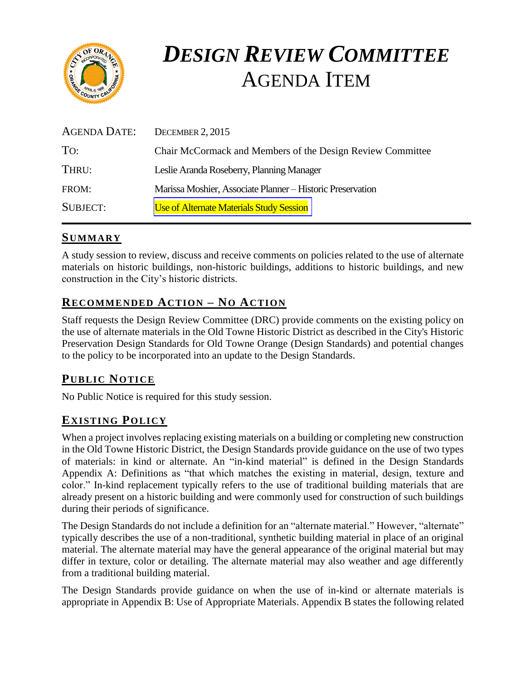

# *DESIGN REVIEW COMMITTEE* AGENDA ITEM

| AGENDA DATE:    | DECEMBER 2, 2015                                           |
|-----------------|------------------------------------------------------------|
| To:             | Chair McCormack and Members of the Design Review Committee |
| THRU:           | Leslie Aranda Roseberry, Planning Manager                  |
| FROM:           | Marissa Moshier, Associate Planner - Historic Preservation |
| <b>SUBJECT:</b> | <b>Use of Alternate Materials Study Session</b>            |

# **SUMMARY**

A study session to review, discuss and receive comments on policies related to the use of alternate materials on historic buildings, non-historic buildings, additions to historic buildings, and new construction in the City's historic districts.

# **RECOMMENDED ACTION – NO ACTION**

Staff requests the Design Review Committee (DRC) provide comments on the existing policy on the use of alternate materials in the Old Towne Historic District as described in the City's Historic Preservation Design Standards for Old Towne Orange (Design Standards) and potential changes to the policy to be incorporated into an update to the Design Standards.

# **PUB LIC NOTICE**

No Public Notice is required for this study session.

# **EXISTING POLICY**

When a project involves replacing existing materials on a building or completing new construction in the Old Towne Historic District, the Design Standards provide guidance on the use of two types of materials: in kind or alternate. An "in-kind material" is defined in the Design Standards Appendix A: Definitions as "that which matches the existing in material, design, texture and color." In-kind replacement typically refers to the use of traditional building materials that are already present on a historic building and were commonly used for construction of such buildings during their periods of significance.

The Design Standards do not include a definition for an "alternate material." However, "alternate" typically describes the use of a non-traditional, synthetic building material in place of an original material. The alternate material may have the general appearance of the original material but may differ in texture, color or detailing. The alternate material may also weather and age differently from a traditional building material.

The Design Standards provide guidance on when the use of in-kind or alternate materials is appropriate in Appendix B: Use of Appropriate Materials. Appendix B states the following related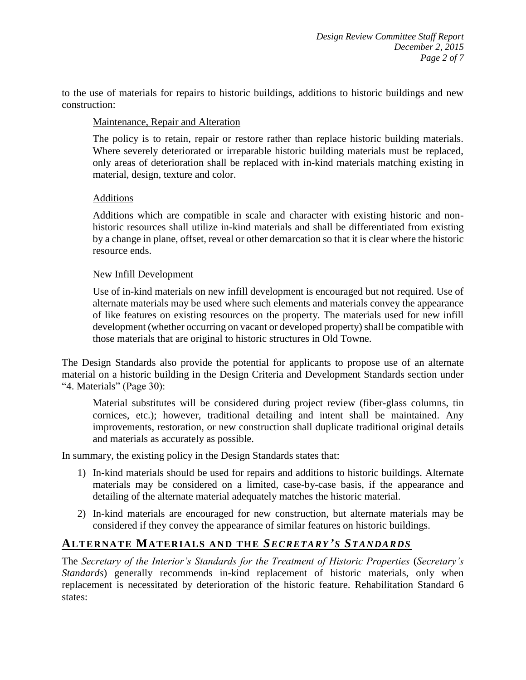to the use of materials for repairs to historic buildings, additions to historic buildings and new construction:

#### Maintenance, Repair and Alteration

The policy is to retain, repair or restore rather than replace historic building materials. Where severely deteriorated or irreparable historic building materials must be replaced, only areas of deterioration shall be replaced with in-kind materials matching existing in material, design, texture and color.

#### **Additions**

Additions which are compatible in scale and character with existing historic and nonhistoric resources shall utilize in-kind materials and shall be differentiated from existing by a change in plane, offset, reveal or other demarcation so that it is clear where the historic resource ends.

#### New Infill Development

Use of in-kind materials on new infill development is encouraged but not required. Use of alternate materials may be used where such elements and materials convey the appearance of like features on existing resources on the property. The materials used for new infill development (whether occurring on vacant or developed property) shall be compatible with those materials that are original to historic structures in Old Towne.

The Design Standards also provide the potential for applicants to propose use of an alternate material on a historic building in the Design Criteria and Development Standards section under "4. Materials" (Page 30):

Material substitutes will be considered during project review (fiber-glass columns, tin cornices, etc.); however, traditional detailing and intent shall be maintained. Any improvements, restoration, or new construction shall duplicate traditional original details and materials as accurately as possible.

In summary, the existing policy in the Design Standards states that:

- 1) In-kind materials should be used for repairs and additions to historic buildings. Alternate materials may be considered on a limited, case-by-case basis, if the appearance and detailing of the alternate material adequately matches the historic material.
- 2) In-kind materials are encouraged for new construction, but alternate materials may be considered if they convey the appearance of similar features on historic buildings.

## **ALTERNATE MATERIALS AND THE** *SECRETARY'S STANDARDS*

The *Secretary of the Interior's Standards for the Treatment of Historic Properties* (*Secretary's Standards*) generally recommends in-kind replacement of historic materials, only when replacement is necessitated by deterioration of the historic feature. Rehabilitation Standard 6 states: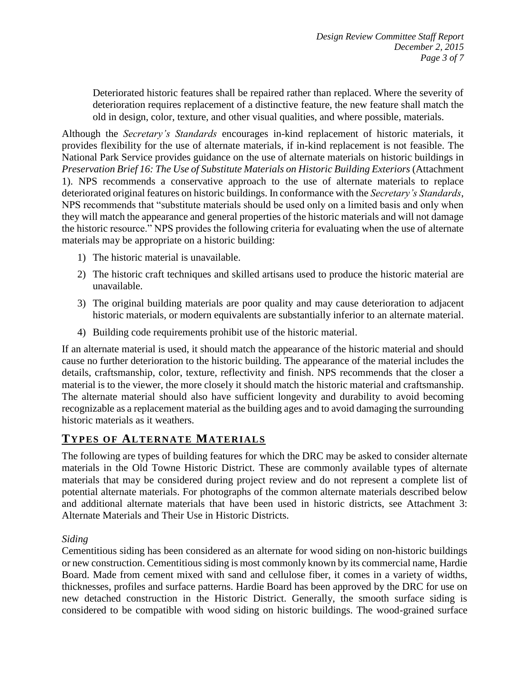Deteriorated historic features shall be repaired rather than replaced. Where the severity of deterioration requires replacement of a distinctive feature, the new feature shall match the old in design, color, texture, and other visual qualities, and where possible, materials.

Although the *Secretary's Standards* encourages in-kind replacement of historic materials, it provides flexibility for the use of alternate materials, if in-kind replacement is not feasible. The National Park Service provides guidance on the use of alternate materials on historic buildings in *Preservation Brief 16: The Use of Substitute Materials on Historic Building Exteriors* (Attachment 1). NPS recommends a conservative approach to the use of alternate materials to replace deteriorated original features on historic buildings. In conformance with the *Secretary's Standards*, NPS recommends that "substitute materials should be used only on a limited basis and only when they will match the appearance and general properties of the historic materials and will not damage the historic resource." NPS provides the following criteria for evaluating when the use of alternate materials may be appropriate on a historic building:

- 1) The historic material is unavailable.
- 2) The historic craft techniques and skilled artisans used to produce the historic material are unavailable.
- 3) The original building materials are poor quality and may cause deterioration to adjacent historic materials, or modern equivalents are substantially inferior to an alternate material.
- 4) Building code requirements prohibit use of the historic material.

If an alternate material is used, it should match the appearance of the historic material and should cause no further deterioration to the historic building. The appearance of the material includes the details, craftsmanship, color, texture, reflectivity and finish. NPS recommends that the closer a material is to the viewer, the more closely it should match the historic material and craftsmanship. The alternate material should also have sufficient longevity and durability to avoid becoming recognizable as a replacement material as the building ages and to avoid damaging the surrounding historic materials as it weathers.

## **TYP ES OF ALTERNATE MATERIALS**

The following are types of building features for which the DRC may be asked to consider alternate materials in the Old Towne Historic District. These are commonly available types of alternate materials that may be considered during project review and do not represent a complete list of potential alternate materials. For photographs of the common alternate materials described below and additional alternate materials that have been used in historic districts, see Attachment 3: Alternate Materials and Their Use in Historic Districts.

#### *Siding*

Cementitious siding has been considered as an alternate for wood siding on non-historic buildings or new construction. Cementitious siding is most commonly known by its commercial name, Hardie Board. Made from cement mixed with sand and cellulose fiber, it comes in a variety of widths, thicknesses, profiles and surface patterns. Hardie Board has been approved by the DRC for use on new detached construction in the Historic District. Generally, the smooth surface siding is considered to be compatible with wood siding on historic buildings. The wood-grained surface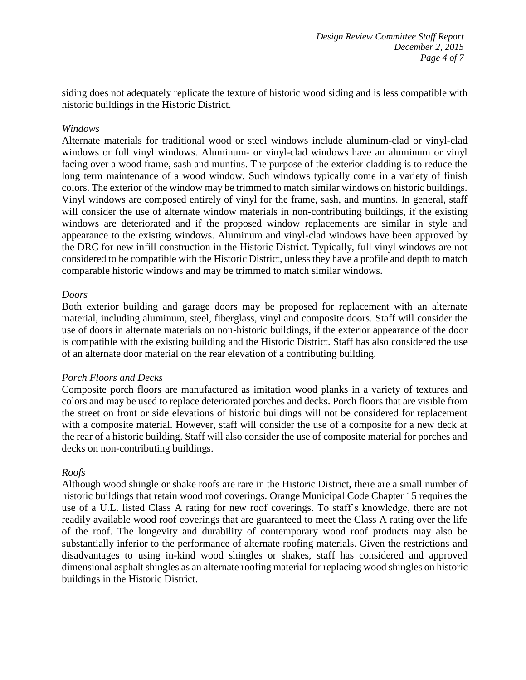siding does not adequately replicate the texture of historic wood siding and is less compatible with historic buildings in the Historic District.

#### *Windows*

Alternate materials for traditional wood or steel windows include aluminum-clad or vinyl-clad windows or full vinyl windows. Aluminum- or vinyl-clad windows have an aluminum or vinyl facing over a wood frame, sash and muntins. The purpose of the exterior cladding is to reduce the long term maintenance of a wood window. Such windows typically come in a variety of finish colors. The exterior of the window may be trimmed to match similar windows on historic buildings. Vinyl windows are composed entirely of vinyl for the frame, sash, and muntins. In general, staff will consider the use of alternate window materials in non-contributing buildings, if the existing windows are deteriorated and if the proposed window replacements are similar in style and appearance to the existing windows. Aluminum and vinyl-clad windows have been approved by the DRC for new infill construction in the Historic District. Typically, full vinyl windows are not considered to be compatible with the Historic District, unless they have a profile and depth to match comparable historic windows and may be trimmed to match similar windows.

#### *Doors*

Both exterior building and garage doors may be proposed for replacement with an alternate material, including aluminum, steel, fiberglass, vinyl and composite doors. Staff will consider the use of doors in alternate materials on non-historic buildings, if the exterior appearance of the door is compatible with the existing building and the Historic District. Staff has also considered the use of an alternate door material on the rear elevation of a contributing building.

#### *Porch Floors and Decks*

Composite porch floors are manufactured as imitation wood planks in a variety of textures and colors and may be used to replace deteriorated porches and decks. Porch floors that are visible from the street on front or side elevations of historic buildings will not be considered for replacement with a composite material. However, staff will consider the use of a composite for a new deck at the rear of a historic building. Staff will also consider the use of composite material for porches and decks on non-contributing buildings.

#### *Roofs*

Although wood shingle or shake roofs are rare in the Historic District, there are a small number of historic buildings that retain wood roof coverings. Orange Municipal Code Chapter 15 requires the use of a U.L. listed Class A rating for new roof coverings. To staff's knowledge, there are not readily available wood roof coverings that are guaranteed to meet the Class A rating over the life of the roof. The longevity and durability of contemporary wood roof products may also be substantially inferior to the performance of alternate roofing materials. Given the restrictions and disadvantages to using in-kind wood shingles or shakes, staff has considered and approved dimensional asphalt shingles as an alternate roofing material for replacing wood shingles on historic buildings in the Historic District.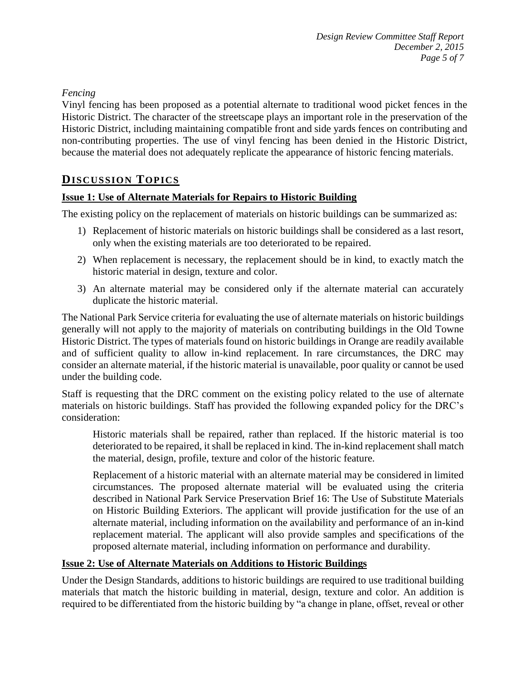*Fencing*

Vinyl fencing has been proposed as a potential alternate to traditional wood picket fences in the Historic District. The character of the streetscape plays an important role in the preservation of the Historic District, including maintaining compatible front and side yards fences on contributing and non-contributing properties. The use of vinyl fencing has been denied in the Historic District, because the material does not adequately replicate the appearance of historic fencing materials.

## **DISCUSSION TOP ICS**

#### **Issue 1: Use of Alternate Materials for Repairs to Historic Building**

The existing policy on the replacement of materials on historic buildings can be summarized as:

- 1) Replacement of historic materials on historic buildings shall be considered as a last resort, only when the existing materials are too deteriorated to be repaired.
- 2) When replacement is necessary, the replacement should be in kind, to exactly match the historic material in design, texture and color.
- 3) An alternate material may be considered only if the alternate material can accurately duplicate the historic material.

The National Park Service criteria for evaluating the use of alternate materials on historic buildings generally will not apply to the majority of materials on contributing buildings in the Old Towne Historic District. The types of materials found on historic buildings in Orange are readily available and of sufficient quality to allow in-kind replacement. In rare circumstances, the DRC may consider an alternate material, if the historic material is unavailable, poor quality or cannot be used under the building code.

Staff is requesting that the DRC comment on the existing policy related to the use of alternate materials on historic buildings. Staff has provided the following expanded policy for the DRC's consideration:

Historic materials shall be repaired, rather than replaced. If the historic material is too deteriorated to be repaired, it shall be replaced in kind. The in-kind replacement shall match the material, design, profile, texture and color of the historic feature.

Replacement of a historic material with an alternate material may be considered in limited circumstances. The proposed alternate material will be evaluated using the criteria described in National Park Service Preservation Brief 16: The Use of Substitute Materials on Historic Building Exteriors. The applicant will provide justification for the use of an alternate material, including information on the availability and performance of an in-kind replacement material. The applicant will also provide samples and specifications of the proposed alternate material, including information on performance and durability.

## **Issue 2: Use of Alternate Materials on Additions to Historic Buildings**

Under the Design Standards, additions to historic buildings are required to use traditional building materials that match the historic building in material, design, texture and color. An addition is required to be differentiated from the historic building by "a change in plane, offset, reveal or other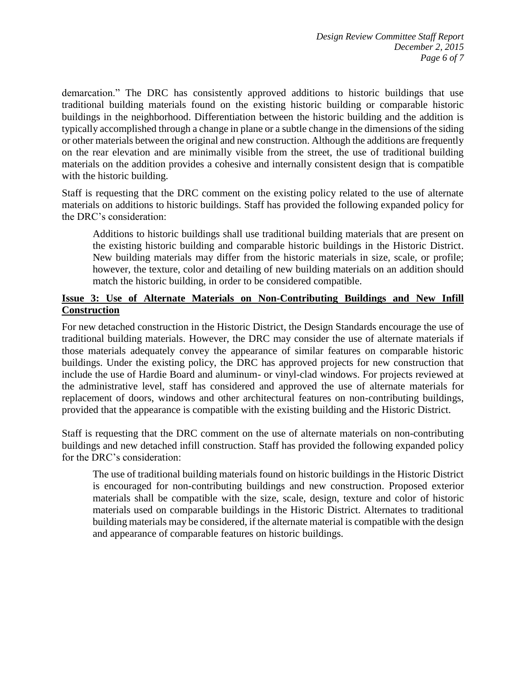demarcation." The DRC has consistently approved additions to historic buildings that use traditional building materials found on the existing historic building or comparable historic buildings in the neighborhood. Differentiation between the historic building and the addition is typically accomplished through a change in plane or a subtle change in the dimensions of the siding or other materials between the original and new construction. Although the additions are frequently on the rear elevation and are minimally visible from the street, the use of traditional building materials on the addition provides a cohesive and internally consistent design that is compatible with the historic building.

Staff is requesting that the DRC comment on the existing policy related to the use of alternate materials on additions to historic buildings. Staff has provided the following expanded policy for the DRC's consideration:

Additions to historic buildings shall use traditional building materials that are present on the existing historic building and comparable historic buildings in the Historic District. New building materials may differ from the historic materials in size, scale, or profile; however, the texture, color and detailing of new building materials on an addition should match the historic building, in order to be considered compatible.

#### **Issue 3: Use of Alternate Materials on Non-Contributing Buildings and New Infill Construction**

For new detached construction in the Historic District, the Design Standards encourage the use of traditional building materials. However, the DRC may consider the use of alternate materials if those materials adequately convey the appearance of similar features on comparable historic buildings. Under the existing policy, the DRC has approved projects for new construction that include the use of Hardie Board and aluminum- or vinyl-clad windows. For projects reviewed at the administrative level, staff has considered and approved the use of alternate materials for replacement of doors, windows and other architectural features on non-contributing buildings, provided that the appearance is compatible with the existing building and the Historic District.

Staff is requesting that the DRC comment on the use of alternate materials on non-contributing buildings and new detached infill construction. Staff has provided the following expanded policy for the DRC's consideration:

The use of traditional building materials found on historic buildings in the Historic District is encouraged for non-contributing buildings and new construction. Proposed exterior materials shall be compatible with the size, scale, design, texture and color of historic materials used on comparable buildings in the Historic District. Alternates to traditional building materials may be considered, if the alternate material is compatible with the design and appearance of comparable features on historic buildings.